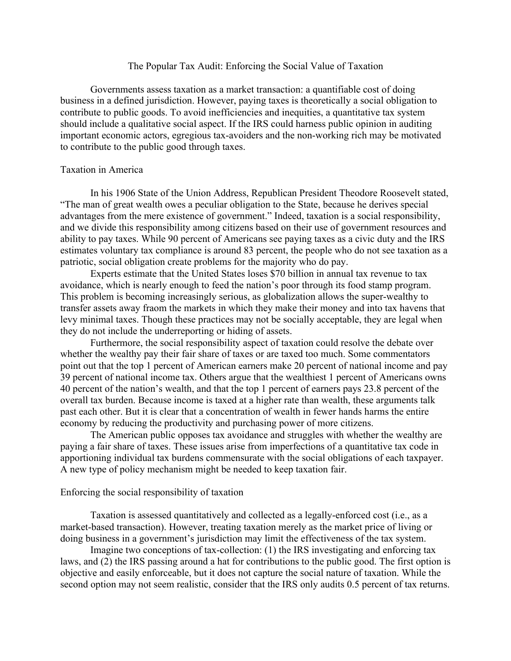## The Popular Tax Audit: Enforcing the Social Value of Taxation

Governments assess taxation as a market transaction: a quantifiable cost of doing business in a defined jurisdiction. However, paying taxes is theoretically a social obligation to contribute to public goods. To avoid inefficiencies and inequities, a quantitative tax system should include a qualitative social aspect. If the IRS could harness public opinion in auditing important economic actors, egregious tax-avoiders and the non-working rich may be motivated to contribute to the public good through taxes.

## Taxation in America

In his 1906 State of the Union Address, Republican President Theodore Roosevelt stated, "The man of great wealth owes a peculiar obligation to the State, because he derives special advantages from the mere existence of government." Indeed, taxation is a social responsibility, and we divide this responsibility among citizens based on their use of government resources and ability to pay taxes. While 90 percent of Americans see paying taxes as a civic duty and the IRS estimates voluntary tax compliance is around 83 percent, the people who do not see taxation as a patriotic, social obligation create problems for the majority who do pay.

Experts estimate that the United States loses \$70 billion in annual tax revenue to tax avoidance, which is nearly enough to feed the nation's poor through its food stamp program. This problem is becoming increasingly serious, as globalization allows the super-wealthy to transfer assets away fraom the markets in which they make their money and into tax havens that levy minimal taxes. Though these practices may not be socially acceptable, they are legal when they do not include the underreporting or hiding of assets.

Furthermore, the social responsibility aspect of taxation could resolve the debate over whether the wealthy pay their fair share of taxes or are taxed too much. Some commentators point out that the top 1 percent of American earners make 20 percent of national income and pay 39 percent of national income tax. Others argue that the wealthiest 1 percent of Americans owns 40 percent of the nation's wealth, and that the top 1 percent of earners pays 23.8 percent of the overall tax burden. Because income is taxed at a higher rate than wealth, these arguments talk past each other. But it is clear that a concentration of wealth in fewer hands harms the entire economy by reducing the productivity and purchasing power of more citizens.

The American public opposes tax avoidance and struggles with whether the wealthy are paying a fair share of taxes. These issues arise from imperfections of a quantitative tax code in apportioning individual tax burdens commensurate with the social obligations of each taxpayer. A new type of policy mechanism might be needed to keep taxation fair.

## Enforcing the social responsibility of taxation

Taxation is assessed quantitatively and collected as a legally-enforced cost (i.e., as a market-based transaction). However, treating taxation merely as the market price of living or doing business in a government's jurisdiction may limit the effectiveness of the tax system.

Imagine two conceptions of tax-collection: (1) the IRS investigating and enforcing tax laws, and (2) the IRS passing around a hat for contributions to the public good. The first option is objective and easily enforceable, but it does not capture the social nature of taxation. While the second option may not seem realistic, consider that the IRS only audits 0.5 percent of tax returns.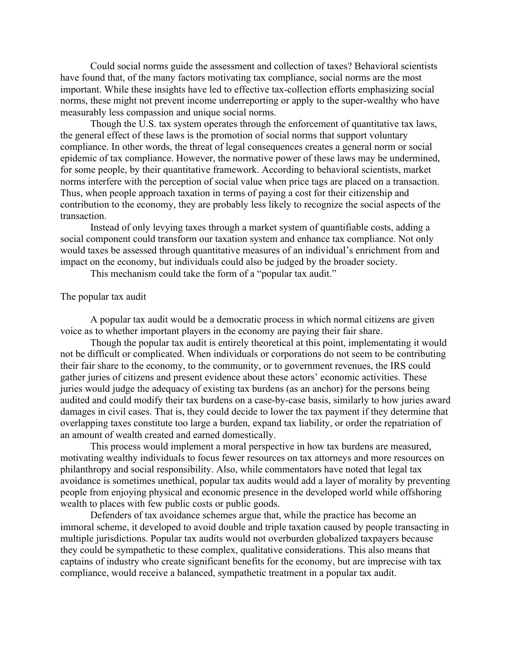Could social norms guide the assessment and collection of taxes? Behavioral scientists have found that, of the many factors motivating tax compliance, social norms are the most important. While these insights have led to effective tax-collection efforts emphasizing social norms, these might not prevent income underreporting or apply to the super-wealthy who have measurably less compassion and unique social norms.

Though the U.S. tax system operates through the enforcement of quantitative tax laws, the general effect of these laws is the promotion of social norms that support voluntary compliance. In other words, the threat of legal consequences creates a general norm or social epidemic of tax compliance. However, the normative power of these laws may be undermined, for some people, by their quantitative framework. According to behavioral scientists, market norms interfere with the perception of social value when price tags are placed on a transaction. Thus, when people approach taxation in terms of paying a cost for their citizenship and contribution to the economy, they are probably less likely to recognize the social aspects of the transaction.

Instead of only levying taxes through a market system of quantifiable costs, adding a social component could transform our taxation system and enhance tax compliance. Not only would taxes be assessed through quantitative measures of an individual's enrichment from and impact on the economy, but individuals could also be judged by the broader society.

This mechanism could take the form of a "popular tax audit."

## The popular tax audit

A popular tax audit would be a democratic process in which normal citizens are given voice as to whether important players in the economy are paying their fair share.

Though the popular tax audit is entirely theoretical at this point, implementating it would not be difficult or complicated. When individuals or corporations do not seem to be contributing their fair share to the economy, to the community, or to government revenues, the IRS could gather juries of citizens and present evidence about these actors' economic activities. These juries would judge the adequacy of existing tax burdens (as an anchor) for the persons being audited and could modify their tax burdens on a case-by-case basis, similarly to how juries award damages in civil cases. That is, they could decide to lower the tax payment if they determine that overlapping taxes constitute too large a burden, expand tax liability, or order the repatriation of an amount of wealth created and earned domestically.

This process would implement a moral perspective in how tax burdens are measured, motivating wealthy individuals to focus fewer resources on tax attorneys and more resources on philanthropy and social responsibility. Also, while commentators have noted that legal tax avoidance is sometimes unethical, popular tax audits would add a layer of morality by preventing people from enjoying physical and economic presence in the developed world while offshoring wealth to places with few public costs or public goods.

Defenders of tax avoidance schemes argue that, while the practice has become an immoral scheme, it developed to avoid double and triple taxation caused by people transacting in multiple jurisdictions. Popular tax audits would not overburden globalized taxpayers because they could be sympathetic to these complex, qualitative considerations. This also means that captains of industry who create significant benefits for the economy, but are imprecise with tax compliance, would receive a balanced, sympathetic treatment in a popular tax audit.